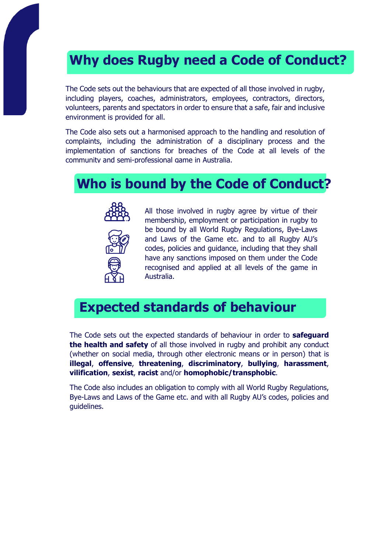# **Why does Rugby need a Code of Conduct?**

The Code sets out the behaviours that are expected of all those involved in rugby, including players, coaches, administrators, employees, contractors, directors, volunteers, parents and spectators in order to ensure that a safe, fair and inclusive environment is provided for all.

The Code also sets out a harmonised approach to the handling and resolution of complaints, including the administration of a disciplinary process and the implementation of sanctions for breaches of the Code at all levels of the community and semi-professional game in Australia.

## **Who is bound by the Code of Conduct?**



All those involved in rugby agree by virtue of their membership, employment or participation in rugby to be bound by all World Rugby Regulations, Bye-Laws and Laws of the Game etc. and to all Rugby AU's codes, policies and guidance, including that they shall have any sanctions imposed on them under the Code recognised and applied at all levels of the game in Australia.

## **Expected standards of behaviour**

The Code sets out the expected standards of behaviour in order to **safeguard the health and safety** of all those involved in rugby and prohibit any conduct (whether on social media, through other electronic means or in person) that is **illegal**, **offensive**, **threatening**, **discriminatory**, **bullying**, **harassment**, **vilification**, **sexist**, **racist** and/or **homophobic/transphobic**.

The Code also includes an obligation to comply with all World Rugby Regulations, Bye-Laws and Laws of the Game etc. and with all Rugby AU's codes, policies and guidelines.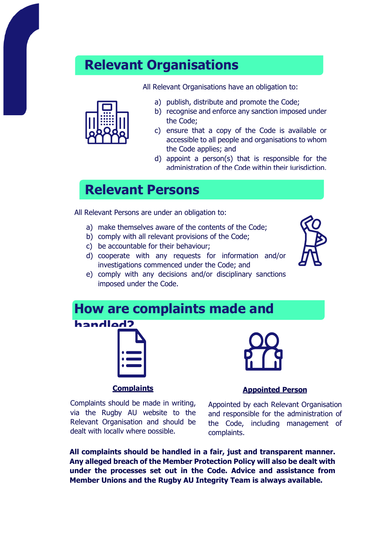## **Relevant Organisations**

All Relevant Organisations have an obligation to:



- a) publish, distribute and promote the Code;
- b) recognise and enforce any sanction imposed under the Code;
- c) ensure that a copy of the Code is available or accessible to all people and organisations to whom the Code applies; and
- d) appoint a person(s) that is responsible for the administration of the Code within their jurisdiction.

## **Relevant Persons**

All Relevant Persons are under an obligation to:

- a) make themselves aware of the contents of the Code;
- b) comply with all relevant provisions of the Code;
- c) be accountable for their behaviour;
- d) cooperate with any requests for information and/or investigations commenced under the Code; and
- e) comply with any decisions and/or disciplinary sanctions imposed under the Code.

**How are complaints made and** 



#### **Complaints**

Complaints should be made in writing, via the Rugby AU website to the Relevant Organisation and should be dealt with locally where possible.



### **Appointed Person**

Appointed by each Relevant Organisation and responsible for the administration of the Code, including management of complaints.

**All complaints should be handled in a fair, just and transparent manner. Any alleged breach of the Member Protection Policy will also be dealt with under the processes set out in the Code. Advice and assistance from Member Unions and the Rugby AU Integrity Team is always available.** 

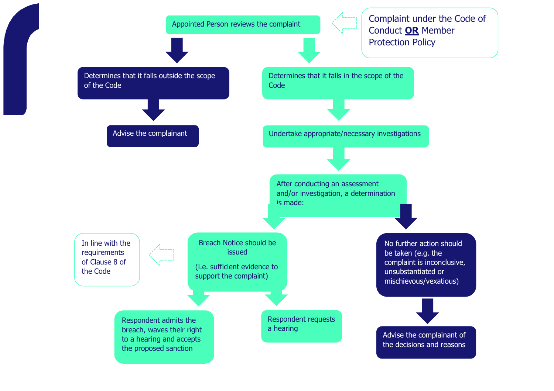